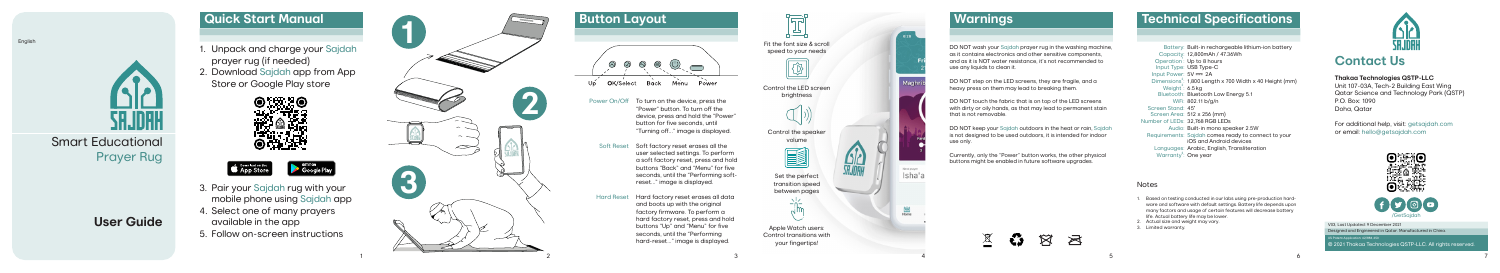© 2021 Thakaa Technologies QSTP-LLC. All rights reserved. V03, Last Updated: 9 December 2021 Designed and Engineered in Qatar. Manufactured in China. Patent Application: 62/884.450

3. Pair your Sajdah rug with your mobile phone using Sajdah app 4. Select one of many prayers available in the app

5. Follow on-screen instructions

1





## **Contact Us**

### **Thakaa Technologies QSTP-LLC**

Unit 107-03A, Tech-2 Building East Wing Qatar Science and Technology Park (QSTP) P.O. Box: 1090 Doha, Qatar

For additional help, visit: getsajdah.com or email: hello@getsajdah.com



Smart Educational Prayer Rug

## **User Guide**

**Button Layout**  $\circledcirc$   $\circledcirc$   $\circledcirc$  $(\circlearrowleft)$ Back Menu Power OK/Select Uó Power On/Off To turn on the device, press the "Power" button. To turn off the device, press and hold the "Power" button for five seconds, until "Turning off..." image is displayed. Soft Reset Soft factory reset erases all the user selected settings. To perform a soft factory reset, press and hold buttons "Back" and "Menu" for five seconds, until the "Performing softreset..." image is displayed. Hard factory reset erases all data Hard Reset and boots up with the original factory firmware. To perform a

DO NOT step on the LED screens, they are fragile, and a heavy press on them may lead to breaking them.



ਜ਼ਿ

## **Technical Specifications**

Battery: Built-in rechargeable lithium-ion battery Capacity: 12,800mAh / 47.36Wh Operation<sup>1</sup>: Up to 8 hours Input Type: USB Type-C Input Power: 5V === 2A Input Power: 5V <del>---</del> 2A<br>Dimensions<sup>3</sup>: 1,800 Length x 700 Width x 40 Height (mm) Weight<sup>2</sup>:  $6.5$  kg Bluetooth: Bluetooth Low Energy 5.1 802.11 b/g/n WiFi: 45° Screen Stand: Screen Area: 512 x 256 (mm) Number of LEDs: 32,<mark>768 RGB LEDs</mark> Audio: Built-in mono speaker 2.5W Requirements: Sajdah comes ready to connect to your iOS and Android devices Languages: Arabic, English, Transliteration Warranty<sup>3</sup>: One year

Notes

1. Based on testing conducted in our labs using pre-production hard ware and software with default settings. Battery life depends upon many factors and usage of certain features will decrease battery

life. Actual battery life may be lower. Actual size and weight may vary. 3. Limited warranty.



## **Warnings**

DO NOT wash your Sajdah prayer rug in the washing machine, as it contains electronics and other sensitive components, and as it is NOT water resistance, it's not recommended to use any liquids to clean it.

DO NOT touch the fabric that is on top of the LED screens with dirty or oily hands, as that may lead to permanent stain that is not removable.

DO NOT keep your Sajdah outdoors in the heat or rain, Sajdah is not designed to be used outdoors, it is intended for indoor





Currently, only the "Power" button works, the other physical buttons might be enabled in future software upgrades.

### $\underline{\mathbb{X}}$  $\boxtimes$ - 43 ■ਲ

English



3

4

5

**Quick Start Manual** 1. Unpack and charge your Sajdah prayer rug (if needed) 2. Download Sajdah app from App Store or Google Play store  $\sim$ **3**